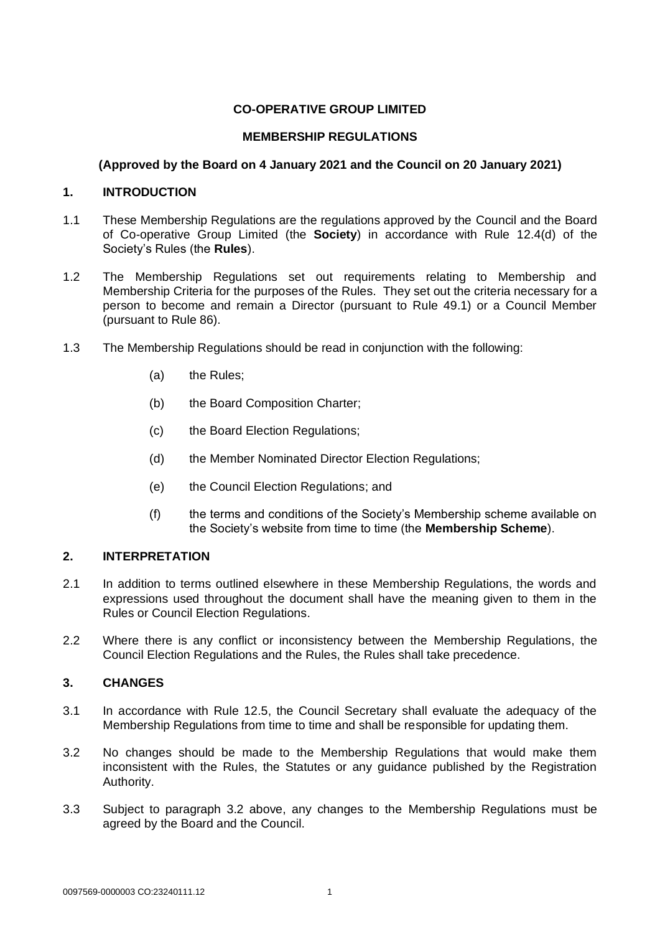# **CO-OPERATIVE GROUP LIMITED**

## **MEMBERSHIP REGULATIONS**

## **(Approved by the Board on 4 January 2021 and the Council on 20 January 2021)**

### **1. INTRODUCTION**

- 1.1 These Membership Regulations are the regulations approved by the Council and the Board of Co-operative Group Limited (the **Society**) in accordance with Rule 12.4(d) of the Society's Rules (the **Rules**).
- 1.2 The Membership Regulations set out requirements relating to Membership and Membership Criteria for the purposes of the Rules. They set out the criteria necessary for a person to become and remain a Director (pursuant to Rule 49.1) or a Council Member (pursuant to Rule 86).
- 1.3 The Membership Regulations should be read in conjunction with the following:
	- (a) the Rules;
	- (b) the Board Composition Charter;
	- (c) the Board Election Regulations;
	- (d) the Member Nominated Director Election Regulations;
	- (e) the Council Election Regulations; and
	- (f) the terms and conditions of the Society's Membership scheme available on the Society's website from time to time (the **Membership Scheme**).

# **2. INTERPRETATION**

- 2.1 In addition to terms outlined elsewhere in these Membership Regulations, the words and expressions used throughout the document shall have the meaning given to them in the Rules or Council Election Regulations.
- 2.2 Where there is any conflict or inconsistency between the Membership Regulations, the Council Election Regulations and the Rules, the Rules shall take precedence.

# **3. CHANGES**

- 3.1 In accordance with Rule 12.5, the Council Secretary shall evaluate the adequacy of the Membership Regulations from time to time and shall be responsible for updating them.
- 3.2 No changes should be made to the Membership Regulations that would make them inconsistent with the Rules, the Statutes or any guidance published by the Registration Authority.
- 3.3 Subject to paragraph 3.2 above, any changes to the Membership Regulations must be agreed by the Board and the Council.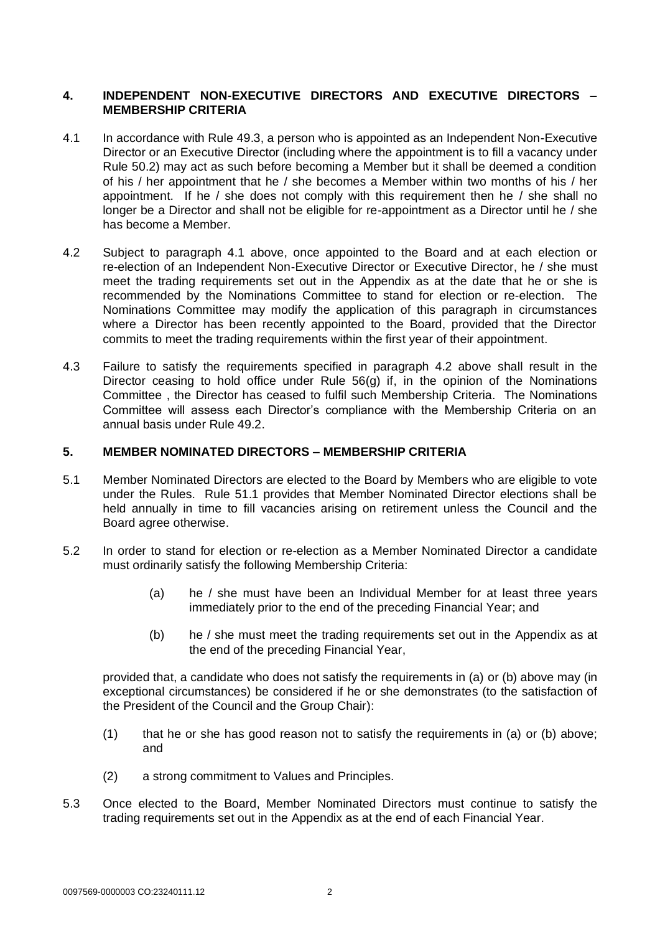# **4. INDEPENDENT NON-EXECUTIVE DIRECTORS AND EXECUTIVE DIRECTORS – MEMBERSHIP CRITERIA**

- 4.1 In accordance with Rule 49.3, a person who is appointed as an Independent Non-Executive Director or an Executive Director (including where the appointment is to fill a vacancy under Rule 50.2) may act as such before becoming a Member but it shall be deemed a condition of his / her appointment that he / she becomes a Member within two months of his / her appointment. If he / she does not comply with this requirement then he / she shall no longer be a Director and shall not be eligible for re-appointment as a Director until he / she has become a Member.
- 4.2 Subject to paragraph 4.1 above, once appointed to the Board and at each election or re-election of an Independent Non-Executive Director or Executive Director, he / she must meet the trading requirements set out in the Appendix as at the date that he or she is recommended by the Nominations Committee to stand for election or re-election. The Nominations Committee may modify the application of this paragraph in circumstances where a Director has been recently appointed to the Board, provided that the Director commits to meet the trading requirements within the first year of their appointment.
- 4.3 Failure to satisfy the requirements specified in paragraph 4.2 above shall result in the Director ceasing to hold office under Rule 56(g) if, in the opinion of the Nominations Committee , the Director has ceased to fulfil such Membership Criteria. The Nominations Committee will assess each Director's compliance with the Membership Criteria on an annual basis under Rule 49.2.

#### **5. MEMBER NOMINATED DIRECTORS – MEMBERSHIP CRITERIA**

- 5.1 Member Nominated Directors are elected to the Board by Members who are eligible to vote under the Rules. Rule 51.1 provides that Member Nominated Director elections shall be held annually in time to fill vacancies arising on retirement unless the Council and the Board agree otherwise.
- 5.2 In order to stand for election or re-election as a Member Nominated Director a candidate must ordinarily satisfy the following Membership Criteria:
	- (a) he / she must have been an Individual Member for at least three years immediately prior to the end of the preceding Financial Year; and
	- (b) he / she must meet the trading requirements set out in the Appendix as at the end of the preceding Financial Year,

provided that, a candidate who does not satisfy the requirements in (a) or (b) above may (in exceptional circumstances) be considered if he or she demonstrates (to the satisfaction of the President of the Council and the Group Chair):

- (1) that he or she has good reason not to satisfy the requirements in (a) or (b) above; and
- (2) a strong commitment to Values and Principles.
- 5.3 Once elected to the Board, Member Nominated Directors must continue to satisfy the trading requirements set out in the Appendix as at the end of each Financial Year.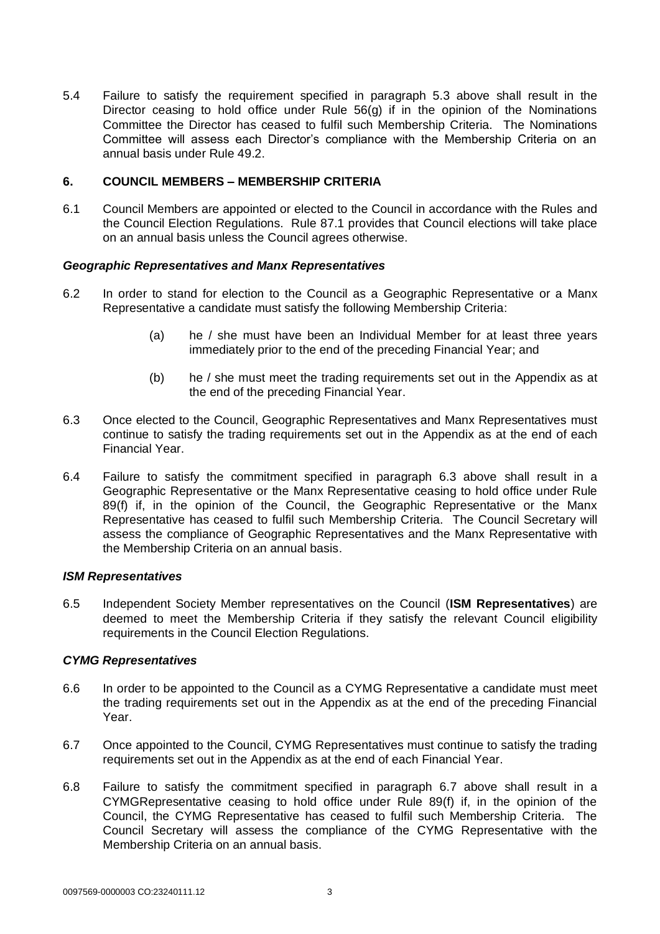5.4 Failure to satisfy the requirement specified in paragraph 5.3 above shall result in the Director ceasing to hold office under Rule 56(g) if in the opinion of the Nominations Committee the Director has ceased to fulfil such Membership Criteria. The Nominations Committee will assess each Director's compliance with the Membership Criteria on an annual basis under Rule 49.2.

### **6. COUNCIL MEMBERS – MEMBERSHIP CRITERIA**

6.1 Council Members are appointed or elected to the Council in accordance with the Rules and the Council Election Regulations. Rule 87.1 provides that Council elections will take place on an annual basis unless the Council agrees otherwise.

### *Geographic Representatives and Manx Representatives*

- 6.2 In order to stand for election to the Council as a Geographic Representative or a Manx Representative a candidate must satisfy the following Membership Criteria:
	- (a) he / she must have been an Individual Member for at least three years immediately prior to the end of the preceding Financial Year; and
	- (b) he / she must meet the trading requirements set out in the Appendix as at the end of the preceding Financial Year.
- 6.3 Once elected to the Council, Geographic Representatives and Manx Representatives must continue to satisfy the trading requirements set out in the Appendix as at the end of each Financial Year.
- 6.4 Failure to satisfy the commitment specified in paragraph 6.3 above shall result in a Geographic Representative or the Manx Representative ceasing to hold office under Rule 89(f) if, in the opinion of the Council, the Geographic Representative or the Manx Representative has ceased to fulfil such Membership Criteria. The Council Secretary will assess the compliance of Geographic Representatives and the Manx Representative with the Membership Criteria on an annual basis.

#### *ISM Representatives*

6.5 Independent Society Member representatives on the Council (**ISM Representatives**) are deemed to meet the Membership Criteria if they satisfy the relevant Council eligibility requirements in the Council Election Regulations.

#### *CYMG Representatives*

- 6.6 In order to be appointed to the Council as a CYMG Representative a candidate must meet the trading requirements set out in the Appendix as at the end of the preceding Financial Year.
- 6.7 Once appointed to the Council, CYMG Representatives must continue to satisfy the trading requirements set out in the Appendix as at the end of each Financial Year.
- 6.8 Failure to satisfy the commitment specified in paragraph 6.7 above shall result in a CYMGRepresentative ceasing to hold office under Rule 89(f) if, in the opinion of the Council, the CYMG Representative has ceased to fulfil such Membership Criteria. The Council Secretary will assess the compliance of the CYMG Representative with the Membership Criteria on an annual basis.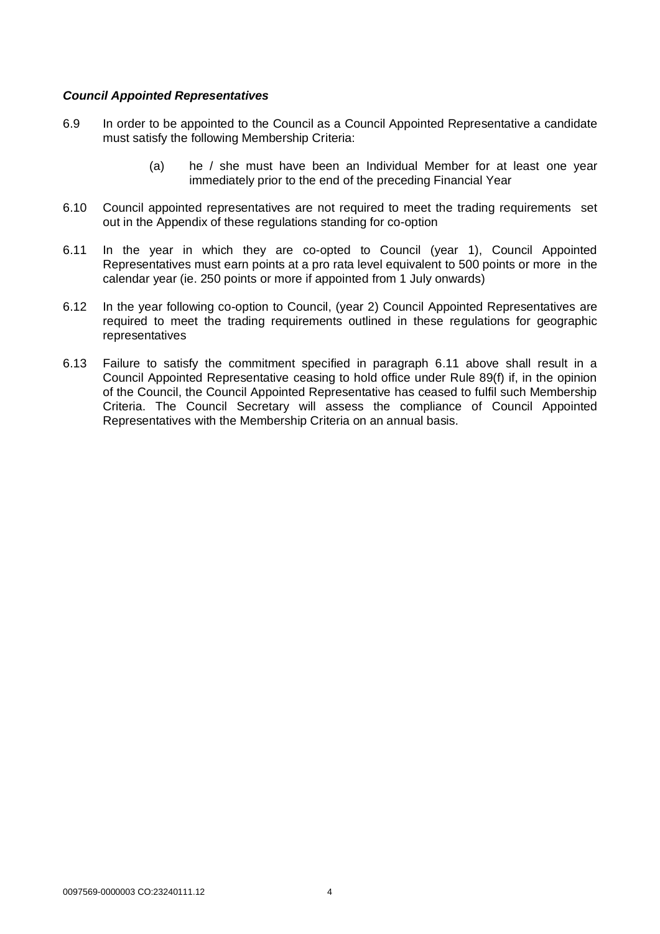## *Council Appointed Representatives*

- 6.9 In order to be appointed to the Council as a Council Appointed Representative a candidate must satisfy the following Membership Criteria:
	- (a) he / she must have been an Individual Member for at least one year immediately prior to the end of the preceding Financial Year
- 6.10 Council appointed representatives are not required to meet the trading requirements set out in the Appendix of these regulations standing for co-option
- 6.11 In the year in which they are co-opted to Council (year 1), Council Appointed Representatives must earn points at a pro rata level equivalent to 500 points or more in the calendar year (ie. 250 points or more if appointed from 1 July onwards)
- 6.12 In the year following co-option to Council, (year 2) Council Appointed Representatives are required to meet the trading requirements outlined in these regulations for geographic representatives
- 6.13 Failure to satisfy the commitment specified in paragraph 6.11 above shall result in a Council Appointed Representative ceasing to hold office under Rule 89(f) if, in the opinion of the Council, the Council Appointed Representative has ceased to fulfil such Membership Criteria. The Council Secretary will assess the compliance of Council Appointed Representatives with the Membership Criteria on an annual basis.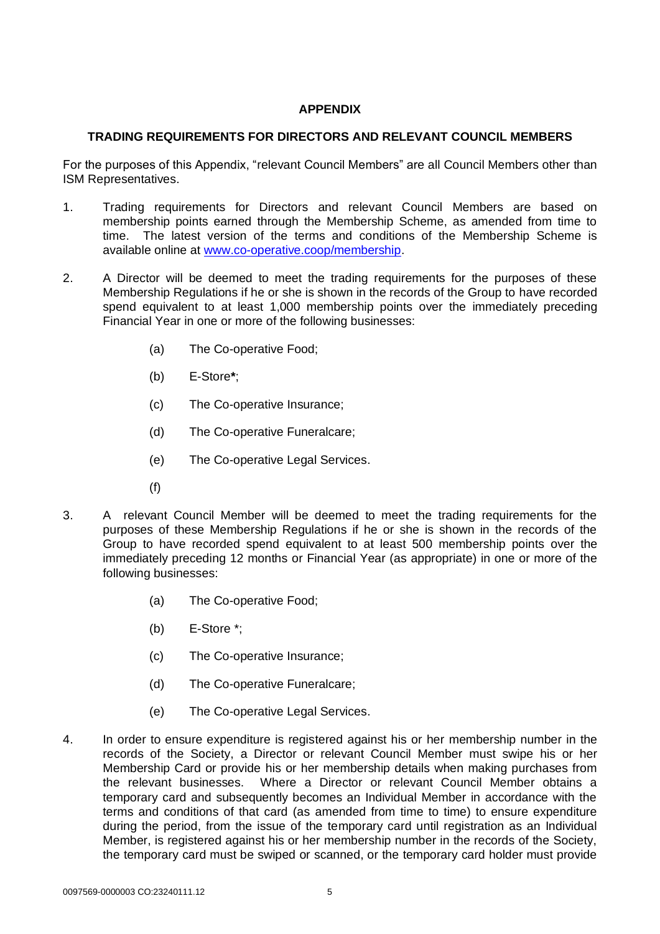# **APPENDIX**

# **TRADING REQUIREMENTS FOR DIRECTORS AND RELEVANT COUNCIL MEMBERS**

For the purposes of this Appendix, "relevant Council Members" are all Council Members other than ISM Representatives.

- 1. Trading requirements for Directors and relevant Council Members are based on membership points earned through the Membership Scheme, as amended from time to time. The latest version of the terms and conditions of the Membership Scheme is available online at [www.co-operative.coop/membership.](http://www.co-operative.coop/membership)
- 2. A Director will be deemed to meet the trading requirements for the purposes of these Membership Regulations if he or she is shown in the records of the Group to have recorded spend equivalent to at least 1,000 membership points over the immediately preceding Financial Year in one or more of the following businesses:
	- (a) The Co-operative Food;
	- (b) E-Store**\***;
	- (c) The Co-operative Insurance;
	- (d) The Co-operative Funeralcare;
	- (e) The Co-operative Legal Services.
	- (f)
- 3. A relevant Council Member will be deemed to meet the trading requirements for the purposes of these Membership Regulations if he or she is shown in the records of the Group to have recorded spend equivalent to at least 500 membership points over the immediately preceding 12 months or Financial Year (as appropriate) in one or more of the following businesses:
	- (a) The Co-operative Food;
	- (b) E-Store \*;
	- (c) The Co-operative Insurance;
	- (d) The Co-operative Funeralcare;
	- (e) The Co-operative Legal Services.
- 4. In order to ensure expenditure is registered against his or her membership number in the records of the Society, a Director or relevant Council Member must swipe his or her Membership Card or provide his or her membership details when making purchases from the relevant businesses. Where a Director or relevant Council Member obtains a temporary card and subsequently becomes an Individual Member in accordance with the terms and conditions of that card (as amended from time to time) to ensure expenditure during the period, from the issue of the temporary card until registration as an Individual Member, is registered against his or her membership number in the records of the Society, the temporary card must be swiped or scanned, or the temporary card holder must provide